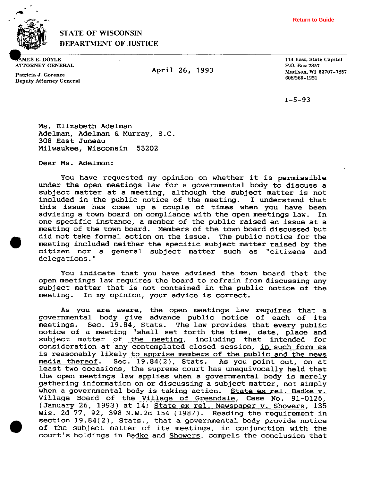## **STATE OF WISCONSIN DEPARTMENT OF JUSTICE**

MES E. DOYLE **ATTORNEY GENERAL** 

-. **.-7** -, -

**Patricia J. Gorence Deputy Attorney General**  April 26, 1993

**114 East. State Caoitol P.O.** *Box* **7857 Madison, WI 53707-7857 6081266- 1221** 

 $T - 5 - 93$ 

Ms. Elizabeth Adelman Adelman, Adelman **6** Murray, S.C. 308 East Juneau Milwaukee, Wisconsin 53202

Dear Ms. Adelman:

You have requested my opinion on whether it is permissible under the open meetings law for a governmental body to discuss a subject matter at a meeting, although the subject matter is not included in the public notice of the meeting. I understand that this issue has come up a couple of times when you have been advising a town board on compliance with the open meetings law. In one specific instance, a member of the public raised an issue at a meeting of the town board. Members of the town board discussed but did not take formal action on the issue. The public notice for the meeting included neither the specific subject matter raised by the citizen nor a general subject matter such as "citizens and delegations."

You indicate that you have advised the town board that the open meetings law requires the board to refrain from discussing any subject matter that is not contained in the public notice of the meeting. In my opinion, your advice is correct. In my opinion, your advice is correct.

As you are aware, the open meetings law requires that a governmental body give advance public notice of each of its meetings. Sec. 19.84, Stats. The law provides that every public notice of a meeting "shall set forth the time, date, place and subject matter of the meetinq, including that intended for consideration at any contemplated closed session, in such form as is reasonably likely to apprise members of the public and the news<br>media thereof. Sec. 19.84(2), Stats. As you point out, on at Sec.  $19.84(2)$ , Stats. least two occasions, the supreme court has unequivocally held that the open meetings law applies when a governmental body is merely gathering information on or discussing a subject matter, not simply when a governmental body is taking action. State ex rel. Badke v. Villaqe Board of the Villaqe of Greendale, Case No. 91-0126, (January 26, 1993) at 14: State ex rel. Newspaper v. Showers, 135 Wis. 2d 77, 92, 398 N.W.2d 154 (1987). Reading the requirement in section 19.84(2), Stats., that a governmental body provide notice **of** the subject matter of its meetings, in conjunction with the court's holdings in Badke and Showers, compels the conclusion that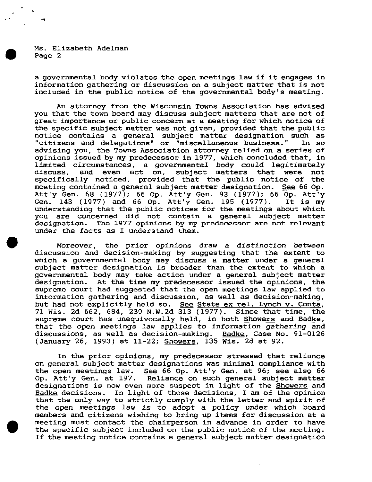Ms. Elizabeth Adelman Page 2

a governmental body violates the open meetings law if it engages in information gathering or discussion on a subject matter that is not included in the public notice of the governmental body's meeting.

An attorney from the Wisconsin Towns Association has advised you that the town board may discuss subject matters that are not of great importance or public concern at a meeting for which notice of the specific subject matter was not given, provided that the public notice contains a general subject matter designation such as<br>"citizens and delegations" or "miscellaneous business." In so "citizens and delegations" or "miscellaneous business." advising you, the Towns Association attorney relied on a series of opinions issued by my predecessor in 1977, which concluded that, in limited circumstances, a governmental body could legitimately even act on, subject matters specifically noticed, provided that the public notice of the meeting contained a general subject matter designation. *See* 66 Op. Att'y Gen. 68 (1977): 66 Op. Att'y Gen. 93 (1977): 66 Op. Att'y Gen.  $143$  (1977) and 66 Op. Att'y Gen. 195 (1977). understanding that the public notices for the meetings about which you are concerned did not contain a general subject matter designation. The 1977 opinions by my **predecessor** are not relevant under the facts as I understand them.

Moreover, the prior opinions draw a distinction between discussion and decision-making by suggesting that the extent to which a governmental body may discuss a matter under a general subject matter designation is broader than the extent to which a governmental body may take action under a general subject matter designation. At the time my predecessor issued the opinions, the supreme court had suggested that the open meetings law applied to information gathering and discussion, as well as decision-making, but had not explicitly held so. See State ex rel. Lynch v. Conta, 71 Wis. 2d 662. 684. 239 N.W.2d 313 (1977). Since that time. the supreme court has unequivocally held, in both Showers and Badke, that the open meetings law applies to information gathering and discussions, as well as decision-making. Badke, Case No. 91-0126 (January 26, 1993) at 11-22; Showers, 135 Wis. 2d at 92.

In the prior opinions, my predecessor stressed that reliance on general subject matter designations was minimal compliance with the open meetings law. **See** 66 Op. Att'y Gen. at 96; see also 66 Reliance on such general subject matter designations is now even more suspect in light of the Showers and Badke decisions. In light of those decisions, I am of the opinion that the only way to strictly comply with the letter and spirit of the open meetings law is to adopt a policy under which board members and citizens wishing to bring up items for discussion at a meeting must contact the chairperson in advance in order to have the specific subject included on the public notice of the meeting. If the meeting notice contains a general subject matter designation